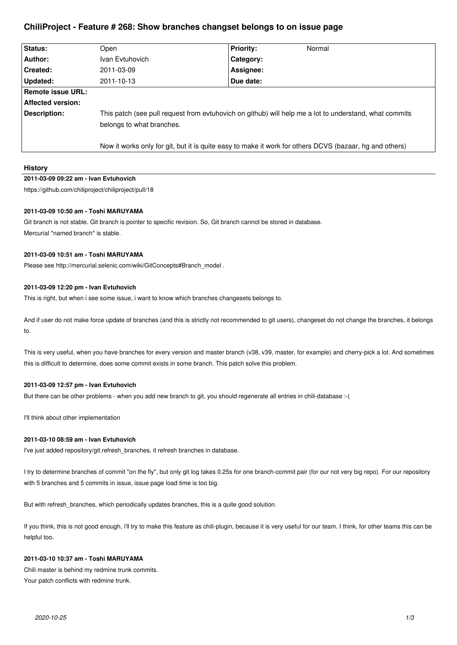# **ChiliProject - Feature # 268: Show branches changset belongs to on issue page**

| Status:           | Open                                                                                                                                | <b>Priority:</b> | Normal |
|-------------------|-------------------------------------------------------------------------------------------------------------------------------------|------------------|--------|
| Author:           | Ivan Evtuhovich                                                                                                                     | Category:        |        |
| Created:          | 2011-03-09                                                                                                                          | Assignee:        |        |
| Updated:          | 2011-10-13                                                                                                                          | Due date:        |        |
| Remote issue URL: |                                                                                                                                     |                  |        |
| Affected version: |                                                                                                                                     |                  |        |
| Description:      | This patch (see pull request from evtuhovich on github) will help me a lot to understand, what commits<br>belongs to what branches. |                  |        |
|                   | Now it works only for git, but it is quite easy to make it work for others DCVS (bazaar, hg and others)                             |                  |        |

### **History**

### **2011-03-09 09:22 am - Ivan Evtuhovich**

https://github.com/chiliproject/chiliproject/pull/18

### **2011-03-09 10:50 am - Toshi MARUYAMA**

Git branch is not stable. Git branch is pointer to specific revision. So, Git branch cannot be stored in database. Mercurial \*named branch\* is stable.

### **2011-03-09 10:51 am - Toshi MARUYAMA**

Please see http://mercurial.selenic.com/wiki/GitConcepts#Branch\_model .

### **2011-03-09 12:20 pm - Ivan Evtuhovich**

This is right, but when i see some issue, i want to know which branches changesets belongs to.

And if user do not make force update of branches (and this is strictly not recommended to git users), changeset do not change the branches, it belongs to.

This is very useful, when you have branches for every version and master branch (v38, v39, master, for example) and cherry-pick a lot. And sometimes this is difficult to determine, does some commit exists in some branch. This patch solve this problem.

## **2011-03-09 12:57 pm - Ivan Evtuhovich**

But there can be other problems - when you add new branch to git, you should regenerate all entries in chili-database :-(

I'll think about other implementation

# **2011-03-10 08:59 am - Ivan Evtuhovich**

I've just added repository/git.refresh\_branches, it refresh branches in database.

I try to determine branches of commit "on the fly", but only git log takes 0.25s for one branch-commit pair (for our not very big repo). For our repository with 5 branches and 5 commits in issue, issue page load time is too big.

But with refresh\_branches, which periodically updates branches, this is a quite good solution.

If you think, this is not good enough, i'll try to make this feature as chili-plugin, because it is very useful for our team. I think, for other teams this can be helpful too.

### **2011-03-10 10:37 am - Toshi MARUYAMA**

Chili master is behind my redmine trunk commits. Your patch conflicts with redmine trunk.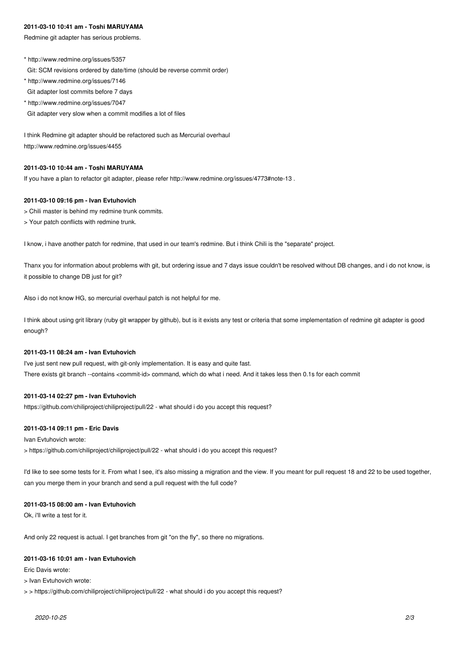### **2011-03-10 10:41 am - Toshi MARUYAMA**

Redmine git adapter has serious problems.

\* http://www.redmine.org/issues/5357 Git: SCM revisions ordered by date/time (should be reverse commit order)

- \* http://www.redmine.org/issues/7146 Git adapter lost commits before 7 days
- \* http://www.redmine.org/issues/7047

Git adapter very slow when a commit modifies a lot of files

I think Redmine git adapter should be refactored such as Mercurial overhaul http://www.redmine.org/issues/4455

### **2011-03-10 10:44 am - Toshi MARUYAMA**

If you have a plan to refactor git adapter, please refer http://www.redmine.org/issues/4773#note-13 .

### **2011-03-10 09:16 pm - Ivan Evtuhovich**

- > Chili master is behind my redmine trunk commits.
- > Your patch conflicts with redmine trunk.

I know, i have another patch for redmine, that used in our team's redmine. But i think Chili is the "separate" project.

Thanx you for information about problems with git, but ordering issue and 7 days issue couldn't be resolved without DB changes, and i do not know, is it possible to change DB just for git?

Also i do not know HG, so mercurial overhaul patch is not helpful for me.

I think about using grit library (ruby git wrapper by github), but is it exists any test or criteria that some implementation of redmine git adapter is good enough?

### **2011-03-11 08:24 am - Ivan Evtuhovich**

I've just sent new pull request, with git-only implementation. It is easy and quite fast. There exists git branch --contains <commit-id> command, which do what i need. And it takes less then 0.1s for each commit

### **2011-03-14 02:27 pm - Ivan Evtuhovich**

https://github.com/chiliproject/chiliproject/pull/22 - what should i do you accept this request?

### **2011-03-14 09:11 pm - Eric Davis**

Ivan Evtuhovich wrote:

> https://github.com/chiliproject/chiliproject/pull/22 - what should i do you accept this request?

I'd like to see some tests for it. From what I see, it's also missing a migration and the view. If you meant for pull request 18 and 22 to be used together, can you merge them in your branch and send a pull request with the full code?

#### **2011-03-15 08:00 am - Ivan Evtuhovich**

Ok, i'll write a test for it.

And only 22 request is actual. I get branches from git "on the fly", so there no migrations.

### **2011-03-16 10:01 am - Ivan Evtuhovich**

Eric Davis wrote:

> Ivan Evtuhovich wrote:

> > https://github.com/chiliproject/chiliproject/pull/22 - what should i do you accept this request?